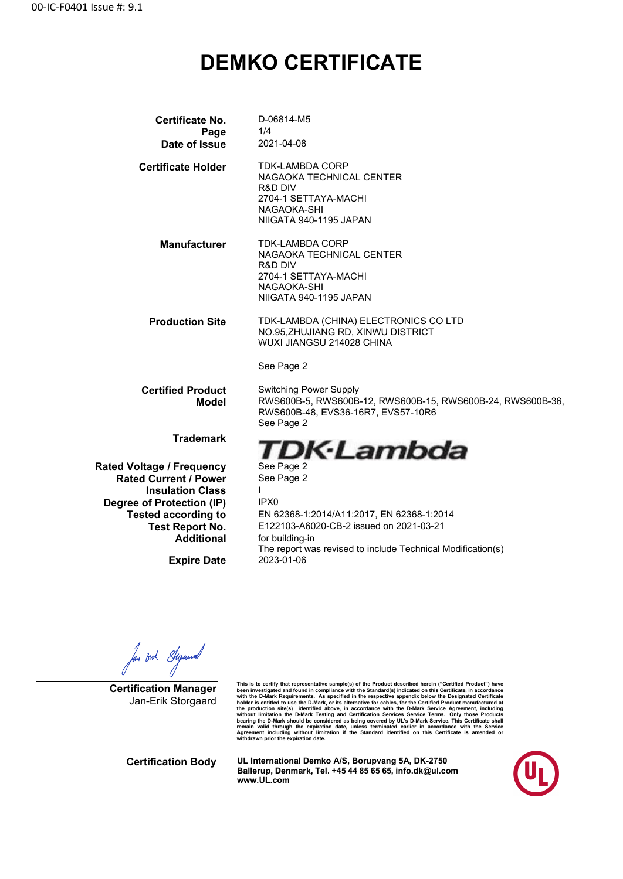## **DEMKO CERTIFICATE**

| Certificate No.                  | D-06814-M5                                                  |
|----------------------------------|-------------------------------------------------------------|
| Page                             | 1/4                                                         |
| Date of Issue                    | 2021-04-08                                                  |
| <b>Certificate Holder</b>        | <b>TDK-LAMBDA CORP</b>                                      |
|                                  | NAGAOKA TECHNICAL CENTER                                    |
|                                  | R&D DIV                                                     |
|                                  | 2704-1 SETTAYA-MACHI                                        |
|                                  | NAGAOKA-SHI                                                 |
|                                  | NIIGATA 940-1195 JAPAN                                      |
| <b>Manufacturer</b>              | <b>TDK-LAMBDA CORP</b>                                      |
|                                  | NAGAOKA TECHNICAL CENTER                                    |
|                                  | R&D DIV                                                     |
|                                  | 2704-1 SETTAYA-MACHI<br>NAGAOKA-SHI                         |
|                                  | NIIGATA 940-1195 JAPAN                                      |
|                                  |                                                             |
| <b>Production Site</b>           | TDK-LAMBDA (CHINA) ELECTRONICS CO LTD                       |
|                                  | NO.95, ZHUJIANG RD, XINWU DISTRICT                          |
|                                  | WUXI JIANGSU 214028 CHINA                                   |
|                                  | See Page 2                                                  |
| <b>Certified Product</b>         | <b>Switching Power Supply</b>                               |
| <b>Model</b>                     | RWS600B-5, RWS600B-12, RWS600B-15, RWS600B-24, RWS600B-36,  |
|                                  | RWS600B-48, EVS36-16R7, EVS57-10R6                          |
|                                  | See Page 2                                                  |
| <b>Trademark</b>                 |                                                             |
|                                  | TDK·Lambda                                                  |
| <b>Rated Voltage / Frequency</b> | See Page 2                                                  |
| <b>Rated Current / Power</b>     | See Page 2                                                  |
| <b>Insulation Class</b>          |                                                             |
| Degree of Protection (IP)        | IPX <sub>0</sub>                                            |
| <b>Tested according to</b>       | EN 62368-1:2014/A11:2017, EN 62368-1:2014                   |
| <b>Test Report No.</b>           | E122103-A6020-CB-2 issued on 2021-03-21                     |
| <b>Additional</b>                | for building-in                                             |
|                                  | The report was revised to include Technical Modification(s) |
| <b>Exnire Date</b>               | 2023-01-06                                                  |

**Expire Date** 

for out Syrund

**Certification Manager** Jan-Erik Storgaard

This is to certify that representative sample(s) of the Product described herein ("Certifical Product") have been investigated and found in compliance with the Standard(s) indicated on this Certificate, in accordance with

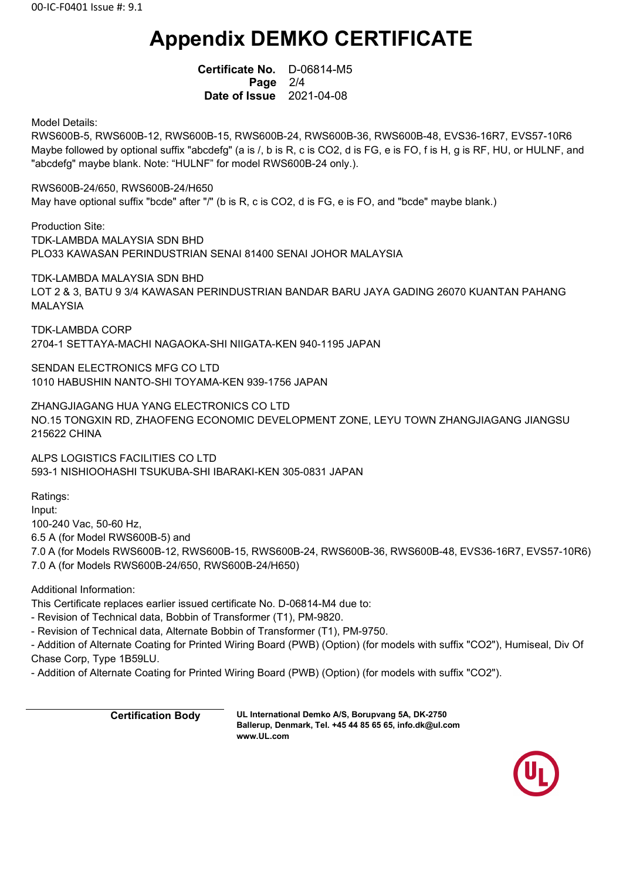# **Appendix DEMKO CERTIFICATE**

 **Certificate No.** D-06814-M5  **Page** 2/4  **Date of Issue** 2021-04-08

Model Details:

RWS600B-5, RWS600B-12, RWS600B-15, RWS600B-24, RWS600B-36, RWS600B-48, EVS36-16R7, EVS57-10R6 Maybe followed by optional suffix "abcdefg" (a is /, b is R, c is CO2, d is FG, e is FO, f is H, g is RF, HU, or HULNF, and "abcdefg" maybe blank. Note: "HULNF" for model RWS600B-24 only.).

RWS600B-24/650, RWS600B-24/H650

May have optional suffix "bcde" after "/" (b is R, c is CO2, d is FG, e is FO, and "bcde" maybe blank.)

Production Site: TDK-LAMBDA MALAYSIA SDN BHD PLO33 KAWASAN PERINDUSTRIAN SENAI 81400 SENAI JOHOR MALAYSIA

TDK-LAMBDA MALAYSIA SDN BHD LOT 2 & 3, BATU 9 3/4 KAWASAN PERINDUSTRIAN BANDAR BARU JAYA GADING 26070 KUANTAN PAHANG MALAYSIA

TDK-LAMBDA CORP 2704-1 SETTAYA-MACHI NAGAOKA-SHI NIIGATA-KEN 940-1195 JAPAN

SENDAN ELECTRONICS MFG CO LTD 1010 HABUSHIN NANTO-SHI TOYAMA-KEN 939-1756 JAPAN

ZHANGJIAGANG HUA YANG ELECTRONICS CO LTD NO.15 TONGXIN RD, ZHAOFENG ECONOMIC DEVELOPMENT ZONE, LEYU TOWN ZHANGJIAGANG JIANGSU 215622 CHINA

ALPS LOGISTICS FACILITIES CO LTD 593-1 NISHIOOHASHI TSUKUBA-SHI IBARAKI-KEN 305-0831 JAPAN

Ratings:

Input: 100-240 Vac, 50-60 Hz, 6.5 A (for Model RWS600B-5) and 7.0 A (for Models RWS600B-12, RWS600B-15, RWS600B-24, RWS600B-36, RWS600B-48, EVS36-16R7, EVS57-10R6) 7.0 A (for Models RWS600B-24/650, RWS600B-24/H650)

Additional Information:

This Certificate replaces earlier issued certificate No. D-06814-M4 due to:

- Revision of Technical data, Bobbin of Transformer (T1), PM-9820.

- Revision of Technical data, Alternate Bobbin of Transformer (T1), PM-9750.

- Addition of Alternate Coating for Printed Wiring Board (PWB) (Option) (for models with suffix "CO2"), Humiseal, Div Of Chase Corp, Type 1B59LU.

- Addition of Alternate Coating for Printed Wiring Board (PWB) (Option) (for models with suffix "CO2").

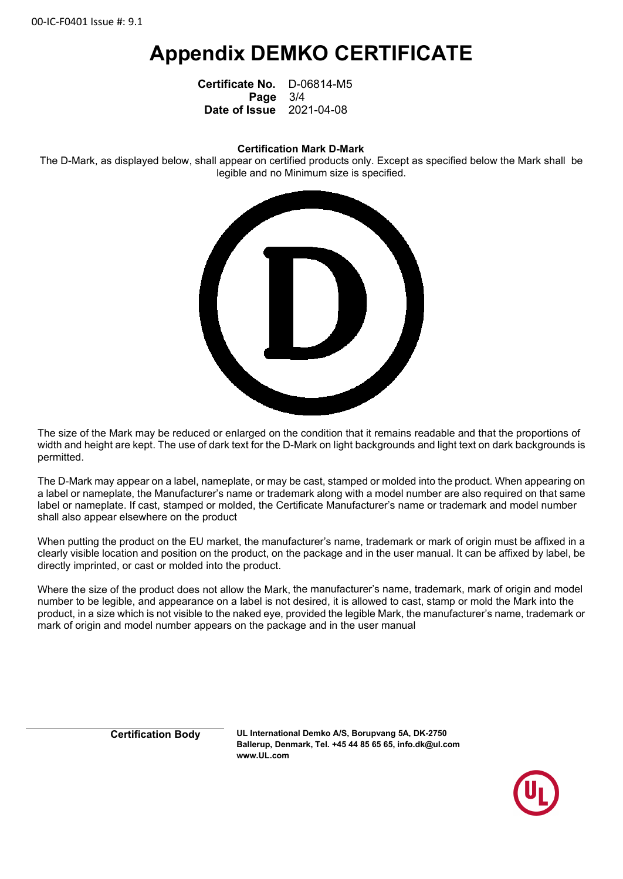## **Appendix DEMKO CERTIFICATE**

 **Certificate No.** D-06814-M5  **Page** 3/4  **Date of Issue** 2021-04-08

#### **Certification Mark D-Mark**

The D-Mark, as displayed below, shall appear on certified products only. Except as specified below the Mark shall be legible and no Minimum size is specified.



The size of the Mark may be reduced or enlarged on the condition that it remains readable and that the proportions of width and height are kept. The use of dark text for the D-Mark on light backgrounds and light text on dark backgrounds is permitted.

The D-Mark may appear on a label, nameplate, or may be cast, stamped or molded into the product. When appearing on a label or nameplate, the Manufacturer's name or trademark along with a model number are also required on that same label or nameplate. If cast, stamped or molded, the Certificate Manufacturer's name or trademark and model number shall also appear elsewhere on the product

When putting the product on the EU market, the manufacturer's name, trademark or mark of origin must be affixed in a clearly visible location and position on the product, on the package and in the user manual. It can be affixed by label, be directly imprinted, or cast or molded into the product.

Where the size of the product does not allow the Mark, the manufacturer's name, trademark, mark of origin and model number to be legible, and appearance on a label is not desired, it is allowed to cast, stamp or mold the Mark into the product, in a size which is not visible to the naked eye, provided the legible Mark, the manufacturer's name, trademark or mark of origin and model number appears on the package and in the user manual